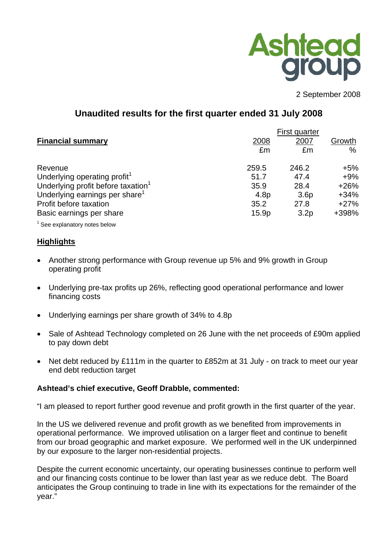

2 September 2008

# **Unaudited results for the first quarter ended 31 July 2008**

|                                                        | First quarter                        |            |
|--------------------------------------------------------|--------------------------------------|------------|
| <b>Financial summary</b>                               | 2007<br>2008                         | Growth     |
|                                                        | £m                                   | $\%$<br>£m |
| 259.5<br>Revenue                                       | 246.2                                | $+5%$      |
| Underlying operating profit <sup>1</sup><br>51.7       | 47.4                                 | $+9%$      |
| Underlying profit before taxation <sup>1</sup><br>35.9 | 28.4                                 | $+26%$     |
| Underlying earnings per share <sup>1</sup>             | 4.8 <sub>p</sub><br>3.6 <sub>p</sub> | $+34%$     |
| Profit before taxation<br>35.2                         | 27.8                                 | $+27%$     |
| Basic earnings per share                               | 15.9p<br>3.2 <sub>p</sub>            | +398%      |

 $1$  See explanatory notes below

# **ighlights H**

- Another strong performance with Group revenue up 5% and 9% growth in Group operating profit
- Underlying pre-tax profits up 26%, reflecting good operational performance and lower financing costs
- Underlying earnings per share growth of 34% to 4.8p •
- Sale of Ashtead Technology completed on 26 June with the net proceeds of £90m applied to pay down debt
- Net debt reduced by £111m in the quarter to £852m at 31 July on track to meet our year end debt reduction target

# **shtead's chief executive, Geoff Drabble, commented: A**

am pleased to report further good revenue and profit growth in the first quarter of the year. "I

In the US we delivered revenue and profit growth as we benefited from improvements in operational performance. We improved utilisation on a larger fleet and continue to benefit from our broad geographic and market exposure. We performed well in the UK underpinned by our exposure to the larger non-residential projects.

Despite the current economic uncertainty, our operating businesses continue to perform well anticipates the Group continuing to trade in line with its expectations for the remainder of the and our financing costs continue to be lower than last year as we reduce debt. The Board year."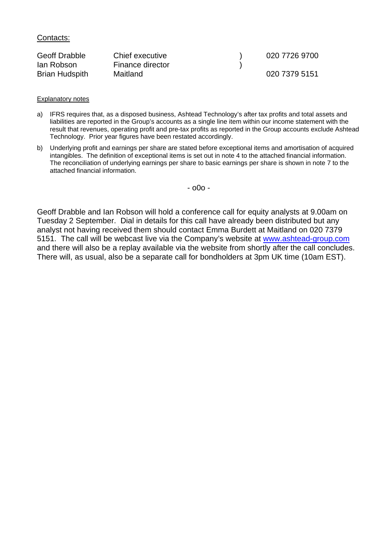Contacts:

| <b>Geoff Drabble</b>  | Chief executive  | 020 7726 9700 |
|-----------------------|------------------|---------------|
| lan Robson            | Finance director |               |
| <b>Brian Hudspith</b> | Maitland         | 020 7379 5151 |

#### Explanatory notes

- a) IFRS requires that, as a disposed business, Ashtead Technology's after tax profits and total assets and liabilities are reported in the Group's accounts as a single line item within our income statement with the result that revenues, operating profit and pre-tax profits as reported in the Group accounts exclude Ashtead Technology. Prior year figures have been restated accordingly.
- b) Underlying profit and earnings per share are stated before exceptional items and amortisation of acquired intangibles. The definition of exceptional items is set out in note 4 to the attached financial information. The reconciliation of underlying earnings per share to basic earnings per share is shown in note 7 to the attached financial information.

- o0o -

Geoff Drabble and Ian Robson will hold a conference call for equity analysts at 9.00am on Tuesday 2 September. Dial in details for this call have already been distributed but any analyst not having received them should contact Emma Burdett at Maitland on 020 7379 5151. The call will be webcast live via the Company's website at [www.ashtead-group.com](http://www.ashtead-group.com/) and there will also be a replay available via the website from shortly after the call concludes. There will, as usual, also be a separate call for bondholders at 3pm UK time (10am EST).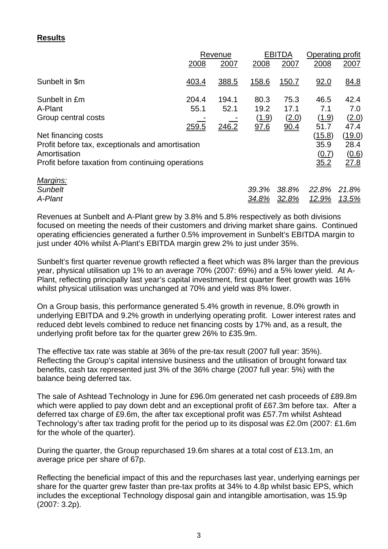# **Results**

|                                                                                                                       | 2008                   | Revenue<br>2007        | 2008                          | <b>EBITDA</b><br>2007         | Operating profit<br>2008                      | 2007                                   |
|-----------------------------------------------------------------------------------------------------------------------|------------------------|------------------------|-------------------------------|-------------------------------|-----------------------------------------------|----------------------------------------|
| Sunbelt in \$m                                                                                                        | 403.4                  | 388.5                  | 158.6                         | <u>150.7</u>                  | <u>92.0</u>                                   | 84.8                                   |
| Sunbelt in £m<br>A-Plant<br>Group central costs<br>Net financing costs                                                | 204.4<br>55.1<br>259.5 | 194.1<br>52.1<br>246.2 | 80.3<br>19.2<br>(1.9)<br>97.6 | 75.3<br>17.1<br>(2.0)<br>90.4 | 46.5<br>7.1<br>(1.9)<br>51.7<br><u>(15.8)</u> | 42.4<br>7.0<br>(2.0)<br>47.4<br>(19.0) |
| Profit before tax, exceptionals and amortisation<br>Amortisation<br>Profit before taxation from continuing operations |                        |                        |                               |                               | 35.9<br>(0.7)<br>35.2                         | 28.4<br>(0.6)<br>27.8                  |
| Margins:<br><b>Sunbelt</b><br>A-Plant                                                                                 |                        |                        | 39.3%<br>34.8%                | 38.8%<br>32.8%                | 22.8%<br><u>12.9%</u>                         | 21.8%<br><u>13.5%</u>                  |

Revenues at Sunbelt and A-Plant grew by 3.8% and 5.8% respectively as both divisions focused on meeting the needs of their customers and driving market share gains. Continued operating efficiencies generated a further 0.5% improvement in Sunbelt's EBITDA margin to just under 40% whilst A-Plant's EBITDA margin grew 2% to just under 35%.

Sunbelt's first quarter revenue growth reflected a fleet which was 8% larger than the previous year, physical utilisation up 1% to an average 70% (2007: 69%) and a 5% lower yield. At A-Plant, reflecting principally last year's capital investment, first quarter fleet growth was 16% whilst physical utilisation was unchanged at 70% and yield was 8% lower.

On a Group basis, this performance generated 5.4% growth in revenue, 8.0% growth in underlying EBITDA and 9.2% growth in underlying operating profit. Lower interest rates and reduced debt levels combined to reduce net financing costs by 17% and, as a result, the underlying profit before tax for the quarter grew 26% to £35.9m.

The effective tax rate was stable at 36% of the pre-tax result (2007 full year: 35%). Reflecting the Group's capital intensive business and the utilisation of brought forward tax benefits, cash tax represented just 3% of the 36% charge (2007 full year: 5%) with the balance being deferred tax.

The sale of Ashtead Technology in June for £96.0m generated net cash proceeds of £89.8m which were applied to pay down debt and an exceptional profit of £67.3m before tax. After a deferred tax charge of £9.6m, the after tax exceptional profit was £57.7m whilst Ashtead Technology's after tax trading profit for the period up to its disposal was £2.0m (2007: £1.6m for the whole of the quarter).

During the quarter, the Group repurchased 19.6m shares at a total cost of £13.1m, an average price per share of 67p.

Reflecting the beneficial impact of this and the repurchases last year, underlying earnings per share for the quarter grew faster than pre-tax profits at 34% to 4.8p whilst basic EPS, which includes the exceptional Technology disposal gain and intangible amortisation, was 15.9p (2007: 3.2p).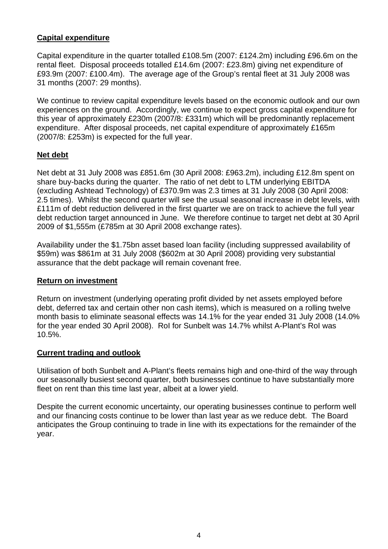# **Capital expenditure**

Capital expenditure in the quarter totalled £108.5m (2007: £124.2m) including £96.6m on the rental fleet. Disposal proceeds totalled £14.6m (2007: £23.8m) giving net expenditure of £93.9m (2007: £100.4m). The average age of the Group's rental fleet at 31 July 2008 was 31 months (2007: 29 months).

We continue to review capital expenditure levels based on the economic outlook and our own experiences on the ground. Accordingly, we continue to expect gross capital expenditure for this year of approximately £230m (2007/8: £331m) which will be predominantly replacement expenditure. After disposal proceeds, net capital expenditure of approximately £165m (2007/8: £253m) is expected for the full year.

# **Net debt**

Net debt at 31 July 2008 was £851.6m (30 April 2008: £963.2m), including £12.8m spent on share buy-backs during the quarter. The ratio of net debt to LTM underlying EBITDA (excluding Ashtead Technology) of £370.9m was 2.3 times at 31 July 2008 (30 April 2008: 2.5 times). Whilst the second quarter will see the usual seasonal increase in debt levels, with £111m of debt reduction delivered in the first quarter we are on track to achieve the full year debt reduction target announced in June. We therefore continue to target net debt at 30 April 2009 of \$1,555m (£785m at 30 April 2008 exchange rates).

Availability under the \$1.75bn asset based loan facility (including suppressed availability of \$59m) was \$861m at 31 July 2008 (\$602m at 30 April 2008) providing very substantial assurance that the debt package will remain covenant free.

# **Return on investment**

Return on investment (underlying operating profit divided by net assets employed before debt, deferred tax and certain other non cash items), which is measured on a rolling twelve month basis to eliminate seasonal effects was 14.1% for the year ended 31 July 2008 (14.0% for the year ended 30 April 2008). RoI for Sunbelt was 14.7% whilst A-Plant's RoI was 10.5%.

# **Current trading and outlook**

Utilisation of both Sunbelt and A-Plant's fleets remains high and one-third of the way through our seasonally busiest second quarter, both businesses continue to have substantially more fleet on rent than this time last year, albeit at a lower yield.

Despite the current economic uncertainty, our operating businesses continue to perform well and our financing costs continue to be lower than last year as we reduce debt. The Board anticipates the Group continuing to trade in line with its expectations for the remainder of the year.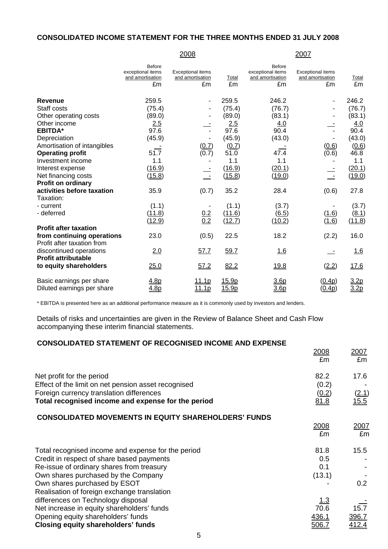#### **CONSOLIDATED INCOME STATEMENT FOR THE THREE MONTHS ENDED 31 JULY 2008**

|                                                          |                                                              | 2008                                               |                  |                                                              | 2007                                               |                     |
|----------------------------------------------------------|--------------------------------------------------------------|----------------------------------------------------|------------------|--------------------------------------------------------------|----------------------------------------------------|---------------------|
|                                                          | <b>Before</b><br>exceptional items<br>and amortisation<br>£m | <b>Exceptional items</b><br>and amortisation<br>£m | Total<br>£m      | <b>Before</b><br>exceptional items<br>and amortisation<br>£m | <b>Exceptional items</b><br>and amortisation<br>£m | Total<br>£m         |
| <b>Revenue</b>                                           | 259.5                                                        |                                                    | 259.5            | 246.2                                                        |                                                    | 246.2               |
| Staff costs                                              | (75.4)                                                       |                                                    | (75.4)           | (76.7)                                                       |                                                    | (76.7)              |
| Other operating costs                                    | (89.0)                                                       |                                                    | (89.0)           | (83.1)                                                       |                                                    | (83.1)              |
| Other income                                             | 2.5                                                          |                                                    | 2.5              | 4.0                                                          |                                                    | 4.0                 |
| <b>EBITDA*</b>                                           | 97.6                                                         |                                                    | 97.6             | 90.4                                                         |                                                    | 90.4                |
| Depreciation                                             | (45.9)                                                       |                                                    | (45.9)           | (43.0)                                                       |                                                    | (43.0)              |
| Amortisation of intangibles                              |                                                              | (0.7)                                              | (0.7)            |                                                              | (0.6)                                              | (0.6)               |
| <b>Operating profit</b>                                  | 51.7                                                         | (0.7)                                              | 51.0             | 47.4                                                         | (0.6)                                              | 46.8                |
| Investment income                                        | 1.1                                                          |                                                    | 1.1              | 1.1                                                          |                                                    | 1.1                 |
| Interest expense                                         | (16.9)                                                       |                                                    | (16.9)           | (20.1)                                                       |                                                    | (20.1)              |
| Net financing costs                                      | (15.8)                                                       |                                                    | (15.8)           | (19.0)                                                       |                                                    | (19.0)              |
| Profit on ordinary                                       |                                                              |                                                    |                  |                                                              |                                                    |                     |
| activities before taxation<br>Taxation:                  | 35.9                                                         | (0.7)                                              | 35.2             | 28.4                                                         | (0.6)                                              | 27.8                |
| - current                                                | (1.1)                                                        |                                                    | (1.1)            | (3.7)                                                        |                                                    | (3.7)               |
| - deferred                                               | (11.8)<br>(12.9)                                             | $\frac{0.2}{0.2}$                                  | (11.6)<br>(12.7) | $\underline{(6.5)}$<br>(10.2)                                | (1.6)<br>(1.6)                                     | (8.1)<br>(11.8)     |
| <b>Profit after taxation</b>                             |                                                              |                                                    |                  |                                                              |                                                    |                     |
| from continuing operations<br>Profit after taxation from | 23.0                                                         | (0.5)                                              | 22.5             | 18.2                                                         | (2.2)                                              | 16.0                |
| discontinued operations<br><b>Profit attributable</b>    | 2.0                                                          | 57.7                                               | 59.7             | 1.6                                                          |                                                    | 1.6                 |
| to equity shareholders                                   | 25.0                                                         | 57.2                                               | 82.2             | <u> 19.8</u>                                                 | (2.2)                                              | <u>17.6</u>         |
| Basic earnings per share<br>Diluted earnings per share   | 4.8p<br>4.8p                                                 | <u>11.1p</u><br>11.1p                              | 15.9p<br>15.9p   | 3.6p<br>3.6 <sub>p</sub>                                     | (0.4p)<br>(0.4p)                                   | <u>3.2p</u><br>3.2p |

\* EBITDA is presented here as an additional performance measure as it is commonly used by investors and lenders.

Details of risks and uncertainties are given in the Review of Balance Sheet and Cash Flow accompanying these interim financial statements.

#### **CONSOLIDATED STATEMENT OF RECOGNISED INCOME AND EXPENSE**

|                                                                                                | <u>2008</u><br>£m | 2007<br>£m    |
|------------------------------------------------------------------------------------------------|-------------------|---------------|
| Net profit for the period<br>Effect of the limit on net pension asset recognised               | 82.2<br>(0.2)     | 17.6          |
| Foreign currency translation differences<br>Total recognised income and expense for the period | (0.2)<br>81.8     | (2.1)<br>15.5 |
| <b>CONSOLIDATED MOVEMENTS IN EQUITY SHAREHOLDERS' FUNDS</b>                                    |                   |               |
|                                                                                                | <u>2008</u><br>£m | 2007<br>£m    |
| Total recognised income and expense for the period                                             | 81.8              | 15.5          |
| Credit in respect of share based payments                                                      | 0.5               |               |
| Re-issue of ordinary shares from treasury                                                      | 0.1               |               |
| Own shares purchased by the Company                                                            | (13.1)            |               |
| Own shares purchased by ESOT<br>Realisation of foreign exchange translation                    |                   | 0.2           |
| differences on Technology disposal                                                             | <u>1.3</u>        |               |
| Net increase in equity shareholders' funds                                                     | 70.6              | 15.7          |
| Opening equity shareholders' funds                                                             | 436.1             | 396.7         |
| <b>Closing equity shareholders' funds</b>                                                      | <u>506.7</u>      | <u>412.4</u>  |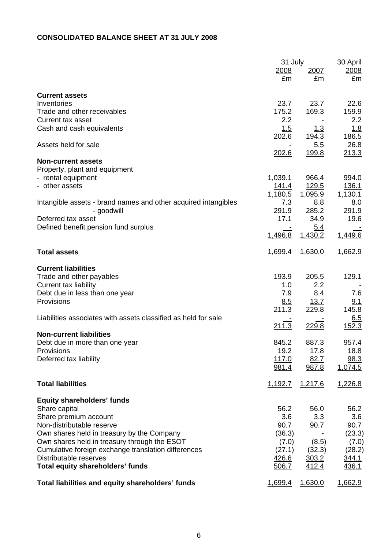## **CONSOLIDATED BALANCE SHEET AT 31 JULY 2008**

|                                                                |         | 31 July     |              |
|----------------------------------------------------------------|---------|-------------|--------------|
|                                                                | 2008    | 2007        | 2008         |
|                                                                | £m      | £m          | £m           |
| <b>Current assets</b>                                          |         |             |              |
| Inventories                                                    | 23.7    | 23.7        | 22.6         |
| Trade and other receivables                                    | 175.2   | 169.3       | 159.9        |
| Current tax asset                                              | 2.2     |             | 2.2          |
| Cash and cash equivalents                                      | 1.5     | <u> 1.3</u> | 1.8          |
|                                                                | 202.6   | 194.3       | 186.5        |
| Assets held for sale                                           |         | 5.5         | 26.8         |
|                                                                | 202.6   | 199.8       | 213.3        |
| <b>Non-current assets</b>                                      |         |             |              |
| Property, plant and equipment                                  |         |             |              |
| - rental equipment                                             | 1,039.1 | 966.4       | 994.0        |
| - other assets                                                 | 141.4   | 129.5       | 136.1        |
|                                                                | 1,180.5 | 1,095.9     | 1,130.1      |
| Intangible assets - brand names and other acquired intangibles | 7.3     | 8.8         | 8.0          |
| - goodwill                                                     | 291.9   | 285.2       | 291.9        |
| Deferred tax asset                                             | 17.1    | 34.9        | 19.6         |
| Defined benefit pension fund surplus                           |         | <u>5.4</u>  |              |
|                                                                | 1,496.8 | 1,430.2     | 1,449.6      |
| <b>Total assets</b>                                            |         |             |              |
|                                                                | 1,699.4 | 1,630.0     | 1,662.9      |
| <b>Current liabilities</b>                                     |         |             |              |
| Trade and other payables                                       | 193.9   | 205.5       | 129.1        |
| <b>Current tax liability</b>                                   | 1.0     | 2.2         |              |
| Debt due in less than one year                                 | 7.9     | 8.4         | 7.6          |
| Provisions                                                     | 8.5     | 13.7        | 9.1          |
|                                                                | 211.3   | 229.8       | 145.8        |
| Liabilities associates with assets classified as held for sale |         |             | 6.5          |
|                                                                | 211.3   | 229.8       | 152.3        |
| <b>Non-current liabilities</b>                                 |         |             |              |
| Debt due in more than one year                                 | 845.2   | 887.3       | 957.4        |
| Provisions                                                     | 19.2    | 17.8        | 18.8         |
| Deferred tax liability                                         | 117.0   | 82.7        | 98.3         |
|                                                                | 981.4   | 987.8       | 1,074.5      |
| <b>Total liabilities</b>                                       | 1,192.7 | 1,217.6     | 1,226.8      |
|                                                                |         |             |              |
| <b>Equity shareholders' funds</b>                              |         |             |              |
| Share capital                                                  | 56.2    | 56.0        | 56.2         |
| Share premium account                                          | 3.6     | 3.3         | 3.6          |
| Non-distributable reserve                                      | 90.7    | 90.7        | 90.7         |
| Own shares held in treasury by the Company                     | (36.3)  |             | (23.3)       |
| Own shares held in treasury through the ESOT                   | (7.0)   | (8.5)       | (7.0)        |
| Cumulative foreign exchange translation differences            | (27.1)  | (32.3)      | (28.2)       |
| Distributable reserves                                         | 426.6   | 303.2       | <u>344.1</u> |
| <b>Total equity shareholders' funds</b>                        | 506.7   | 412.4       | 436.1        |
|                                                                |         |             |              |
| Total liabilities and equity shareholders' funds               | 1,699.4 | 1,630.0     | 1,662.9      |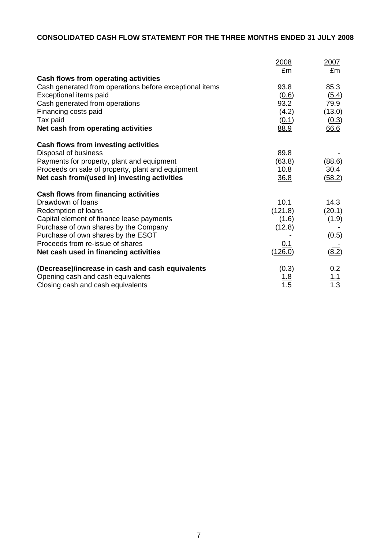# **CONSOLIDATED CASH FLOW STATEMENT FOR THE THREE MONTHS ENDED 31 JULY 2008**

|                                                         | 2008<br>£m  | 2007<br>£m  |
|---------------------------------------------------------|-------------|-------------|
| Cash flows from operating activities                    |             |             |
| Cash generated from operations before exceptional items | 93.8        | 85.3        |
| Exceptional items paid                                  | (0.6)       | (5.4)       |
| Cash generated from operations                          | 93.2        | 79.9        |
| Financing costs paid                                    | (4.2)       | (13.0)      |
| Tax paid                                                | (0.1)       | (0.3)       |
| Net cash from operating activities                      | 88.9        | 66.6        |
| Cash flows from investing activities                    |             |             |
| Disposal of business                                    | 89.8        |             |
| Payments for property, plant and equipment              | (63.8)      | (88.6)      |
| Proceeds on sale of property, plant and equipment       | <u>10.8</u> | <u>30.4</u> |
| Net cash from/(used in) investing activities            | 36.8        | (58.2)      |
| Cash flows from financing activities                    |             |             |
| Drawdown of loans                                       | 10.1        | 14.3        |
| Redemption of loans                                     | (121.8)     | (20.1)      |
| Capital element of finance lease payments               | (1.6)       | (1.9)       |
| Purchase of own shares by the Company                   | (12.8)      |             |
| Purchase of own shares by the ESOT                      |             | (0.5)       |
| Proceeds from re-issue of shares                        | 0.1         |             |
| Net cash used in financing activities                   | (126.0)     | (8.2)       |
| (Decrease)/increase in cash and cash equivalents        | (0.3)       | 0.2         |
| Opening cash and cash equivalents                       | <u> 1.8</u> | <u> 1.1</u> |
| Closing cash and cash equivalents                       | 1.5         | 1.3         |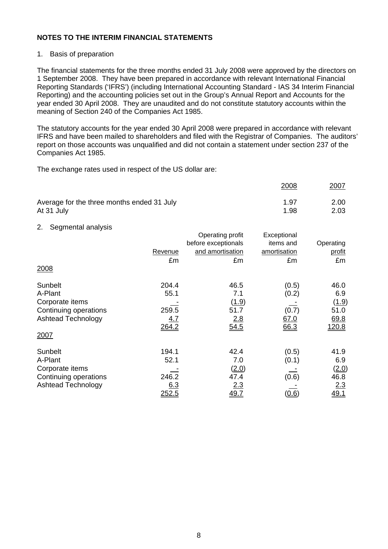## 1. Basis of preparation

The financial statements for the three months ended 31 July 2008 were approved by the directors on 1 September 2008. They have been prepared in accordance with relevant International Financial Reporting Standards ('IFRS') (including International Accounting Standard - IAS 34 Interim Financial Reporting) and the accounting policies set out in the Group's Annual Report and Accounts for the year ended 30 April 2008. They are unaudited and do not constitute statutory accounts within the meaning of Section 240 of the Companies Act 1985.

The statutory accounts for the year ended 30 April 2008 were prepared in accordance with relevant IFRS and have been mailed to shareholders and filed with the Registrar of Companies. The auditors' report on those accounts was unqualified and did not contain a statement under section 237 of the Companies Act 1985.

The exchange rates used in respect of the US dollar are:

|                                            | 2008 | <u> 2007</u> |
|--------------------------------------------|------|--------------|
| Average for the three months ended 31 July | 1.97 | 2.00         |
| At 31 July                                 | 1.98 | 2.03         |

#### 2. Segmental analysis

| 55.5<br>2008              | Revenue<br>£m | Operating profit<br>before exceptionals<br>and amortisation<br>£m | Exceptional<br>items and<br>amortisation<br>£m | Operating<br>profit<br>£m |
|---------------------------|---------------|-------------------------------------------------------------------|------------------------------------------------|---------------------------|
| Sunbelt                   | 204.4         | 46.5                                                              | (0.5)                                          | 46.0                      |
| A-Plant                   | 55.1          | 7.1                                                               | (0.2)                                          | 6.9                       |
| Corporate items           |               | (1.9)                                                             |                                                | (1.9)                     |
| Continuing operations     | 259.5         | 51.7                                                              | (0.7)                                          | 51.0                      |
| <b>Ashtead Technology</b> | <u>4.7</u>    | <u>2.8</u>                                                        | 67.0                                           | 69.8                      |
|                           | <u> 264.2</u> | 54.5                                                              | 66.3                                           | <u>120.8</u>              |
| 2007                      |               |                                                                   |                                                |                           |
| Sunbelt                   | 194.1         | 42.4                                                              | (0.5)                                          | 41.9                      |
| A-Plant                   | 52.1          | 7.0                                                               | (0.1)                                          | 6.9                       |
| Corporate items           |               | (2.0)                                                             |                                                | (2.0)                     |
| Continuing operations     | 246.2         | 47.4                                                              | (0.6)                                          | 46.8                      |
| <b>Ashtead Technology</b> | 6.3           | <u>2.3</u>                                                        |                                                | 2.3                       |
|                           | 252.5         | 49.7                                                              | (0.6)                                          | 49.1                      |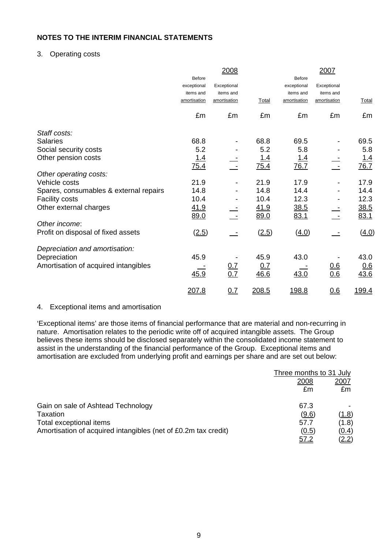## 3. Operating costs

|                                        |              | 2008              |             |               | 2007         |              |
|----------------------------------------|--------------|-------------------|-------------|---------------|--------------|--------------|
|                                        | Before       |                   |             | <b>Before</b> |              |              |
|                                        | exceptional  | Exceptional       |             | exceptional   | Exceptional  |              |
|                                        | items and    | items and         |             | items and     | items and    |              |
|                                        | amortisation | amortisation      | Total       | amortisation  | amortisation | <b>Total</b> |
|                                        | £m           | £m                | £m          | £m            | £m           | £m           |
| Staff costs:                           |              |                   |             |               |              |              |
| <b>Salaries</b>                        | 68.8         |                   | 68.8        | 69.5          |              | 69.5         |
| Social security costs                  | 5.2          |                   | 5.2         | 5.8           |              | 5.8          |
| Other pension costs                    | <u>1.4</u>   |                   | <u>1.4</u>  | <u> 1.4</u>   |              | <u>1.4</u>   |
|                                        | 75.4         |                   | 75.4        | <u>76.7</u>   |              | 76.7         |
| Other operating costs:                 |              |                   |             |               |              |              |
| Vehicle costs                          | 21.9         |                   | 21.9        | 17.9          |              | 17.9         |
| Spares, consumables & external repairs | 14.8         |                   | 14.8        | 14.4          |              | 14.4         |
| <b>Facility costs</b>                  | 10.4         |                   | 10.4        | 12.3          |              | 12.3         |
| Other external charges                 | <u>41.9</u>  |                   | <u>41.9</u> | <u>38.5</u>   |              | <u>38.5</u>  |
|                                        | 89.0         |                   | 89.0        | 83.1          |              | 83.1         |
| Other income:                          |              |                   |             |               |              |              |
| Profit on disposal of fixed assets     | (2.5)        |                   | (2.5)       | (4.0)         |              | (4.0)        |
| Depreciation and amortisation:         |              |                   |             |               |              |              |
| Depreciation                           | 45.9         |                   | 45.9        | 43.0          |              | 43.0         |
| Amortisation of acquired intangibles   |              |                   | 0.7         |               | 0.6          | 0.6          |
|                                        | 45.9         | $\frac{0.7}{0.7}$ | 46.6        | 43.0          | 0.6          | 43.6         |
|                                        | 207.8        | 0.7               | 208.5       | <u> 198.8</u> | 0.6          | <u>199.4</u> |

#### 4. Exceptional items and amortisation

'Exceptional items' are those items of financial performance that are material and non-recurring in nature. Amortisation relates to the periodic write off of acquired intangible assets. The Group believes these items should be disclosed separately within the consolidated income statement to assist in the understanding of the financial performance of the Group. Exceptional items and amortisation are excluded from underlying profit and earnings per share and are set out below:

|                                                                | Three months to 31 July |              |
|----------------------------------------------------------------|-------------------------|--------------|
|                                                                | 2008                    | <u> 2007</u> |
|                                                                | £m                      | £m           |
| Gain on sale of Ashtead Technology                             | 67.3                    |              |
| Taxation                                                       | (9.6)                   | <u>(1.8)</u> |
| Total exceptional items                                        | 57.7                    | (1.8)        |
| Amortisation of acquired intangibles (net of £0.2m tax credit) | (0.5)                   | (0.4)        |
|                                                                | 57.2                    | <u>(2.2)</u> |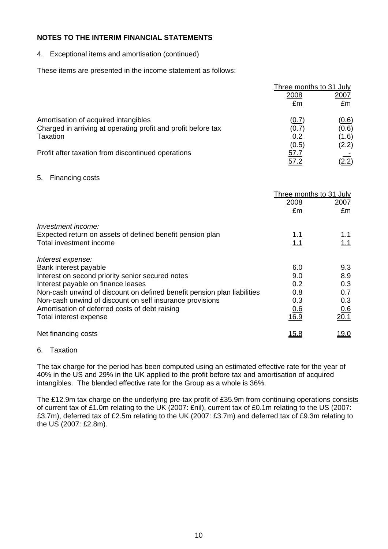4. Exceptional items and amortisation (continued)

These items are presented in the income statement as follows:

|                                                               | Three months to 31 July |              |  |
|---------------------------------------------------------------|-------------------------|--------------|--|
|                                                               | 2008                    | <u> 2007</u> |  |
|                                                               | £m                      | £m           |  |
| Amortisation of acquired intangibles                          | (0.7)                   | <u>(0.6)</u> |  |
| Charged in arriving at operating profit and profit before tax | (0.7)                   | (0.6)        |  |
| Taxation                                                      | 0.2                     | (1.6)        |  |
|                                                               | (0.5)                   | (2.2)        |  |
| Profit after taxation from discontinued operations            | 57.7                    |              |  |
|                                                               | <u>57.2</u>             | <u>(2.2)</u> |  |

#### 5. Financing costs

|                                                                         | 2008         | Three months to 31 July<br>2007 |
|-------------------------------------------------------------------------|--------------|---------------------------------|
|                                                                         | £m           | £m                              |
| Investment income:                                                      |              |                                 |
| Expected return on assets of defined benefit pension plan               | <u>1.1</u>   | <u>1.1</u>                      |
| Total investment income                                                 | 1.1          | 1.1                             |
| Interest expense:                                                       |              |                                 |
| Bank interest payable                                                   | 6.0          | 9.3                             |
| Interest on second priority senior secured notes                        | 9.0          | 8.9                             |
| Interest payable on finance leases                                      | 0.2          | 0.3                             |
| Non-cash unwind of discount on defined benefit pension plan liabilities | 0.8          | 0.7                             |
| Non-cash unwind of discount on self insurance provisions                | 0.3          | 0.3                             |
| Amortisation of deferred costs of debt raising                          | 0.6          | 0.6                             |
| Total interest expense                                                  | 16.9         | 20.1                            |
| Net financing costs                                                     | <u> 15.8</u> | <u>19.0</u>                     |

#### 6. Taxation

The tax charge for the period has been computed using an estimated effective rate for the year of 40% in the US and 29% in the UK applied to the profit before tax and amortisation of acquired intangibles. The blended effective rate for the Group as a whole is 36%.

The £12.9m tax charge on the underlying pre-tax profit of £35.9m from continuing operations consists of current tax of £1.0m relating to the UK (2007: £nil), current tax of £0.1m relating to the US (2007: £3.7m), deferred tax of £2.5m relating to the UK (2007: £3.7m) and deferred tax of £9.3m relating to the US (2007: £2.8m).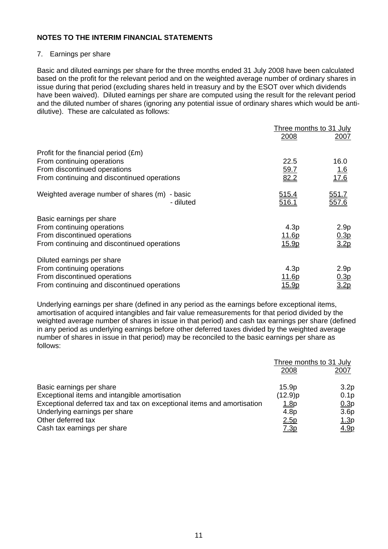## 7. Earnings per share

Basic and diluted earnings per share for the three months ended 31 July 2008 have been calculated based on the profit for the relevant period and on the weighted average number of ordinary shares in issue during that period (excluding shares held in treasury and by the ESOT over which dividends have been waived). Diluted earnings per share are computed using the result for the relevant period and the diluted number of shares (ignoring any potential issue of ordinary shares which would be antidilutive). These are calculated as follows:

|                                                               | Three months to 31 July      |                       |  |
|---------------------------------------------------------------|------------------------------|-----------------------|--|
|                                                               | 2008                         | 2007                  |  |
| Profit for the financial period (£m)                          |                              |                       |  |
| From continuing operations                                    | 22.5                         | 16.0                  |  |
| From discontinued operations                                  | 59.7                         |                       |  |
| From continuing and discontinued operations                   | 82.2                         | $\frac{1.6}{17.6}$    |  |
| Weighted average number of shares (m)<br>- basic<br>- diluted | <u>515.4</u><br><u>516.1</u> | <u>551.7</u><br>557.6 |  |
| Basic earnings per share                                      |                              |                       |  |
| From continuing operations                                    | 4.3p                         | 2.9 <sub>p</sub>      |  |
| From discontinued operations                                  | <u>11.6p</u>                 | 0.3p                  |  |
| From continuing and discontinued operations                   | 15.9p                        | 3.2p                  |  |
| Diluted earnings per share                                    |                              |                       |  |
| From continuing operations                                    | 4.3p                         | 2.9 <sub>p</sub>      |  |
| From discontinued operations                                  | <u> 11.6p</u>                | 0.3p                  |  |
| From continuing and discontinued operations                   | <u>15.9p</u>                 | 3.2 <sub>D</sub>      |  |

Underlying earnings per share (defined in any period as the earnings before exceptional items, amortisation of acquired intangibles and fair value remeasurements for that period divided by the weighted average number of shares in issue in that period) and cash tax earnings per share (defined in any period as underlying earnings before other deferred taxes divided by the weighted average number of shares in issue in that period) may be reconciled to the basic earnings per share as follows:

|                                                                        | Three months to 31 July |                  |
|------------------------------------------------------------------------|-------------------------|------------------|
|                                                                        | 2008                    | 2007             |
| Basic earnings per share                                               | 15.9p                   | 3.2 <sub>p</sub> |
| Exceptional items and intangible amortisation                          | (12.9)p                 | 0.1 <sub>p</sub> |
| Exceptional deferred tax and tax on exceptional items and amortisation | <u>1.8</u> p            | 0.3p             |
| Underlying earnings per share                                          | 4.8 <sub>p</sub>        | 3.6 <sub>p</sub> |
| Other deferred tax                                                     | 2.5p                    | <u>1.3p</u>      |
| Cash tax earnings per share                                            | <u>7.3p</u>             | <u>4.9p</u>      |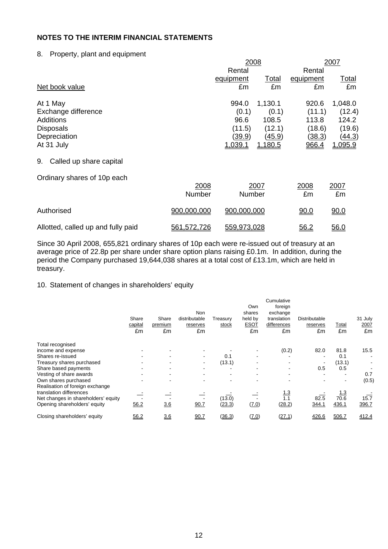#### 8. Property, plant and equipment

|                                    |             | 2008          |         | 2007      |         |
|------------------------------------|-------------|---------------|---------|-----------|---------|
|                                    |             | Rental        |         | Rental    |         |
|                                    |             | equipment     | Total   | equipment | Total   |
| Net book value                     |             | £m            | £m      | £m        | £m      |
| At 1 May                           |             | 994.0         | 1,130.1 | 920.6     | 1,048.0 |
| Exchange difference                |             | (0.1)         | (0.1)   | (11.1)    | (12.4)  |
| <b>Additions</b>                   |             | 96.6          | 108.5   | 113.8     | 124.2   |
| <b>Disposals</b>                   |             | (11.5)        | (12.1)  | (18.6)    | (19.6)  |
| Depreciation                       |             | <u>(39.9)</u> | (45.9)  | (38.3)    | (44.3)  |
| At 31 July                         |             | 1,039.1       | 1,180.5 | 966.4     | 1,095.9 |
| Called up share capital<br>9.      |             |               |         |           |         |
| Ordinary shares of 10p each        |             |               |         |           |         |
|                                    | 2008        |               | 2007    | 2008      | 2007    |
|                                    | Number      | Number        |         | £m        | £m      |
| Authorised                         | 900,000,000 | 900,000,000   |         | 90.0      | 90.0    |
| Allotted, called up and fully paid | 561,572,726 | 559,973,028   |         | 56.2      | 56.0    |

Since 30 April 2008, 655,821 ordinary shares of 10p each were re-issued out of treasury at an average price of 22.8p per share under share option plans raising £0.1m. In addition, during the period the Company purchased 19,644,038 shares at a total cost of £13.1m, which are held in treasury.

#### 10. Statement of changes in shareholders' equity

|                                     | Share<br>capital<br>£m | Share<br>premium<br>£m | <b>Non</b><br>distributable<br>reserves<br>£m | Treasury<br><u>stock</u> | Own<br>shares<br>held by<br><b>ESOT</b><br>£m | Cumulative<br>foreign<br>exchange<br>translation<br>differences<br>£m | Distributable<br>reserves<br>£m | <u>Total</u><br>£m | 31 July<br>2007<br>£m |
|-------------------------------------|------------------------|------------------------|-----------------------------------------------|--------------------------|-----------------------------------------------|-----------------------------------------------------------------------|---------------------------------|--------------------|-----------------------|
| Total recognised                    |                        |                        |                                               |                          |                                               |                                                                       |                                 |                    |                       |
| income and expense                  |                        |                        |                                               |                          |                                               | (0.2)                                                                 | 82.0                            | 81.8               | 15.5                  |
| Shares re-issued                    |                        |                        |                                               | 0.1                      |                                               |                                                                       |                                 | 0.1                |                       |
| Treasury shares purchased           |                        |                        | $\overline{\phantom{a}}$                      | (13.1)                   |                                               |                                                                       |                                 | (13.1)             |                       |
| Share based payments                |                        |                        |                                               |                          |                                               |                                                                       | 0.5                             | 0.5                |                       |
| Vesting of share awards             |                        | ۰                      |                                               |                          |                                               |                                                                       |                                 | ۰                  | 0.7                   |
| Own shares purchased                |                        |                        |                                               |                          |                                               |                                                                       |                                 | $\blacksquare$     | (0.5)                 |
| Realisation of foreign exchange     |                        |                        |                                               |                          |                                               |                                                                       |                                 |                    |                       |
| translation differences             |                        |                        |                                               |                          |                                               | $\frac{1.3}{1.1}$                                                     |                                 | <u> 1.3</u>        |                       |
| Net changes in shareholders' equity |                        |                        |                                               | (13.0)                   |                                               |                                                                       | 82.5                            | 70.6               | 15.7                  |
| Opening shareholders' equity        | 56.2                   | 3.6                    | 90.7                                          | (23.3)                   | (7.0)                                         | (28.2)                                                                | 344.1                           | 436.1              | 396.7                 |
| Closing shareholders' equity        | 56.2                   | 3.6                    | 90.7                                          | (36.3)                   | (7.0)                                         | (27.1)                                                                | 426.6                           | 506.7              | 412.4                 |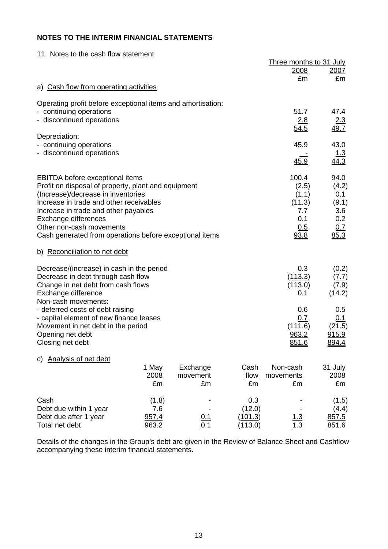11. Notes to the cash flow statement

|                                                                                                                                                                                                                                                                                                                                       |                                |                            |                                     | Three months to 31 July                                        |                                                            |
|---------------------------------------------------------------------------------------------------------------------------------------------------------------------------------------------------------------------------------------------------------------------------------------------------------------------------------------|--------------------------------|----------------------------|-------------------------------------|----------------------------------------------------------------|------------------------------------------------------------|
|                                                                                                                                                                                                                                                                                                                                       |                                |                            |                                     | 2008                                                           | 2007                                                       |
| a) Cash flow from operating activities                                                                                                                                                                                                                                                                                                |                                |                            |                                     | £m                                                             | £m                                                         |
|                                                                                                                                                                                                                                                                                                                                       |                                |                            |                                     |                                                                |                                                            |
| Operating profit before exceptional items and amortisation:<br>- continuing operations<br>- discontinued operations                                                                                                                                                                                                                   |                                |                            |                                     | 51.7<br>2.8<br>54.5                                            | 47.4<br>2.3<br>49.7                                        |
| Depreciation:<br>- continuing operations                                                                                                                                                                                                                                                                                              |                                |                            |                                     | 45.9                                                           | 43.0                                                       |
| - discontinued operations                                                                                                                                                                                                                                                                                                             |                                |                            |                                     | 45.9                                                           | 1.3<br>44.3                                                |
| <b>EBITDA</b> before exceptional items<br>Profit on disposal of property, plant and equipment<br>(Increase)/decrease in inventories<br>Increase in trade and other receivables<br>Increase in trade and other payables<br>Exchange differences<br>Other non-cash movements<br>Cash generated from operations before exceptional items |                                |                            |                                     | 100.4<br>(2.5)<br>(1.1)<br>(11.3)<br>7.7<br>0.1<br>0.5<br>93.8 | 94.0<br>(4.2)<br>0.1<br>(9.1)<br>3.6<br>0.2<br>0.7<br>85.3 |
| b) Reconciliation to net debt                                                                                                                                                                                                                                                                                                         |                                |                            |                                     |                                                                |                                                            |
| Decrease/(increase) in cash in the period<br>Decrease in debt through cash flow<br>Change in net debt from cash flows<br>Exchange difference<br>Non-cash movements:                                                                                                                                                                   |                                |                            |                                     | 0.3<br>(113.3)<br>(113.0)<br>0.1                               | (0.2)<br>(7.7)<br>(7.9)<br>(14.2)                          |
| - deferred costs of debt raising<br>- capital element of new finance leases<br>Movement in net debt in the period<br>Opening net debt<br>Closing net debt                                                                                                                                                                             |                                |                            |                                     | 0.6<br>0.7<br>(111.6)<br>963.2<br>851.6                        | 0.5<br>0.1<br>(21.5)<br>915.9<br><u>894.4</u>              |
| Analysis of net debt<br>C)                                                                                                                                                                                                                                                                                                            | 1 May<br>2008<br>£m            | Exchange<br>movement<br>£m | Cash<br>flow<br>£m                  | Non-cash<br>movements<br>£m                                    | 31 July<br>2008<br>£m                                      |
| Cash<br>Debt due within 1 year<br>Debt due after 1 year<br>Total net debt                                                                                                                                                                                                                                                             | (1.8)<br>7.6<br>957.4<br>963.2 | <u>0.1</u><br>0.1          | 0.3<br>(12.0)<br>(101.3)<br>(113.0) | <u>.3</u><br>1.3                                               | (1.5)<br>(4.4)<br>857.5<br>851.6                           |

Details of the changes in the Group's debt are given in the Review of Balance Sheet and Cashflow accompanying these interim financial statements.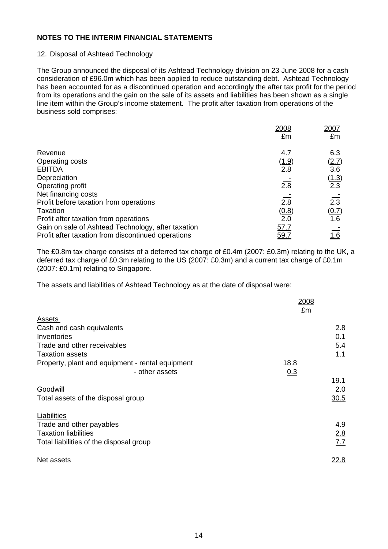#### 12. Disposal of Ashtead Technology

The Group announced the disposal of its Ashtead Technology division on 23 June 2008 for a cash consideration of £96.0m which has been applied to reduce outstanding debt. Ashtead Technology has been accounted for as a discontinued operation and accordingly the after tax profit for the period from its operations and the gain on the sale of its assets and liabilities has been shown as a single line item within the Group's income statement. The profit after taxation from operations of the business sold comprises:

|                                                    | 2008             | 2007             |
|----------------------------------------------------|------------------|------------------|
|                                                    | £m               | £m               |
| Revenue                                            | 4.7              | 6.3              |
| Operating costs                                    | (1.9)            | <u>(2.7)</u>     |
| <b>EBITDA</b>                                      | 2.8              | $\overline{3.6}$ |
| Depreciation                                       |                  | (1.3)            |
| Operating profit                                   | $\overline{2.8}$ | 2.3              |
| Net financing costs                                |                  |                  |
| Profit before taxation from operations             | 2.8              | $\frac{1}{2.3}$  |
| Taxation                                           | (0.8)            | (0.7)            |
| Profit after taxation from operations              | 2.0              | 1.6              |
| Gain on sale of Ashtead Technology, after taxation | 57.7             |                  |
| Profit after taxation from discontinued operations | <u>59.7</u>      | <u> 1.6</u>      |

The £0.8m tax charge consists of a deferred tax charge of £0.4m (2007: £0.3m) relating to the UK, a deferred tax charge of £0.3m relating to the US (2007: £0.3m) and a current tax charge of £0.1m (2007: £0.1m) relating to Singapore.

The assets and liabilities of Ashtead Technology as at the date of disposal were:

|                                                  | 2008<br>£m  |
|--------------------------------------------------|-------------|
| Assets                                           |             |
| Cash and cash equivalents                        | 2.8         |
| Inventories                                      | 0.1         |
| Trade and other receivables                      | 5.4         |
| <b>Taxation assets</b>                           | 1.1         |
| Property, plant and equipment - rental equipment | 18.8        |
| - other assets                                   | 0.3         |
|                                                  | 19.1        |
| Goodwill                                         | 2.0         |
| Total assets of the disposal group               | 30.5        |
| Liabilities                                      |             |
| Trade and other payables                         | 4.9         |
| <b>Taxation liabilities</b>                      | 2.8         |
| Total liabilities of the disposal group          | 7.7         |
| Net assets                                       | <u>22.8</u> |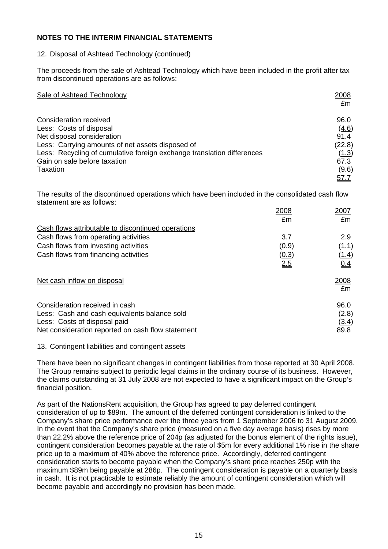## 12. Disposal of Ashtead Technology (continued)

The proceeds from the sale of Ashtead Technology which have been included in the profit after tax from discontinued operations are as follows:

| Sale of Ashtead Technology                                             | 2008<br>£m  |
|------------------------------------------------------------------------|-------------|
| Consideration received                                                 | 96.0        |
| Less: Costs of disposal                                                | (4.6)       |
| Net disposal consideration                                             | 91.4        |
| Less: Carrying amounts of net assets disposed of                       | (22.8)      |
| Less: Recycling of cumulative foreign exchange translation differences | (1.3)       |
| Gain on sale before taxation                                           | 67.3        |
| Taxation                                                               | (9.6)       |
|                                                                        | <u>57.7</u> |

The results of the discontinued operations which have been included in the consolidated cash flow statement are as follows:

|                                                    | 2008  | 2007         |
|----------------------------------------------------|-------|--------------|
|                                                    | £m    | £m           |
| Cash flows attributable to discontinued operations |       |              |
| Cash flows from operating activities               | 3.7   | 2.9          |
| Cash flows from investing activities               | (0.9) | (1.1)        |
| Cash flows from financing activities               | (0.3) | (1.4)        |
|                                                    | 2.5   | <u>0.4</u>   |
| Net cash inflow on disposal                        |       | 2008         |
|                                                    |       | £m           |
| Consideration received in cash                     |       | 96.0         |
| Less: Cash and cash equivalents balance sold       |       | (2.8)        |
| Less: Costs of disposal paid                       |       | <u>(3.4)</u> |
| Net consideration reported on cash flow statement  |       | <u>89.8</u>  |

#### 13. Contingent liabilities and contingent assets

There have been no significant changes in contingent liabilities from those reported at 30 April 2008. The Group remains subject to periodic legal claims in the ordinary course of its business. However, the claims outstanding at 31 July 2008 are not expected to have a significant impact on the Group's financial position.

As part of the NationsRent acquisition, the Group has agreed to pay deferred contingent consideration of up to \$89m. The amount of the deferred contingent consideration is linked to the Company's share price performance over the three years from 1 September 2006 to 31 August 2009. In the event that the Company's share price (measured on a five day average basis) rises by more than 22.2% above the reference price of 204p (as adjusted for the bonus element of the rights issue), contingent consideration becomes payable at the rate of \$5m for every additional 1% rise in the share price up to a maximum of 40% above the reference price. Accordingly, deferred contingent consideration starts to become payable when the Company's share price reaches 250p with the maximum \$89m being payable at 286p. The contingent consideration is payable on a quarterly basis in cash. It is not practicable to estimate reliably the amount of contingent consideration which will become payable and accordingly no provision has been made.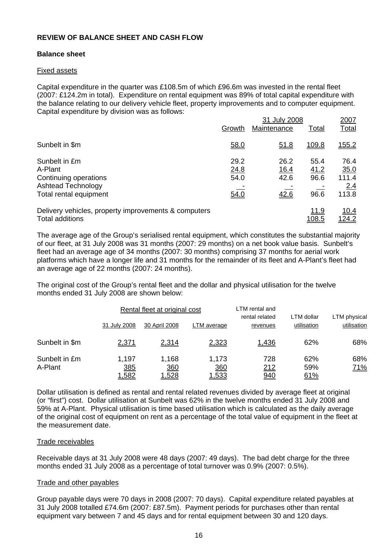## **REVIEW OF BALANCE SHEET AND CASH FLOW**

## **Balance sheet**

#### Fixed assets

Capital expenditure in the quarter was £108.5m of which £96.6m was invested in the rental fleet (2007: £124.2m in total). Expenditure on rental equipment was 89% of total capital expenditure with the balance relating to our delivery vehicle fleet, property improvements and to computer equipment. Capital expenditure by division was as follows:

|                                                      |        | 2007        |              |               |
|------------------------------------------------------|--------|-------------|--------------|---------------|
|                                                      | Growth | Maintenance | <u>Total</u> | Total         |
| Sunbelt in \$m                                       | 58.0   | <u>51.8</u> | 109.8        | <u> 155.2</u> |
| Sunbelt in £m                                        | 29.2   | 26.2        | 55.4         | 76.4          |
| A-Plant                                              | 24.8   | <u>16.4</u> | 41.2         | 35.0          |
| Continuing operations                                | 54.0   | 42.6        | 96.6         | 111.4         |
| <b>Ashtead Technology</b>                            |        |             |              | 2.4           |
| Total rental equipment                               | 54.0   | 42.6        | 96.6         | 113.8         |
| Delivery vehicles, property improvements & computers |        |             | <u>11.9</u>  | <u> 10.4</u>  |
| Total additions                                      |        |             | 108.5        | 124.2         |

The average age of the Group's serialised rental equipment, which constitutes the substantial majority of our fleet, at 31 July 2008 was 31 months (2007: 29 months) on a net book value basis. Sunbelt's fleet had an average age of 34 months (2007: 30 months) comprising 37 months for aerial work platforms which have a longer life and 31 months for the remainder of its fleet and A-Plant's fleet had an average age of 22 months (2007: 24 months).

The original cost of the Group's rental fleet and the dollar and physical utilisation for the twelve months ended 31 July 2008 are shown below:

|                          |                              | Rental fleet at original cost       |                              | LTM rental and             |                           |                             |
|--------------------------|------------------------------|-------------------------------------|------------------------------|----------------------------|---------------------------|-----------------------------|
|                          | 31 July 2008                 | 30 April 2008                       | LTM average                  | rental related<br>revenues | LTM dollar<br>utilisation | LTM physical<br>utilisation |
| Sunbelt in \$m           | <u>2,371</u>                 | 2,314                               | 2,323                        | 1,436                      | 62%                       | 68%                         |
| Sunbelt in £m<br>A-Plant | 1,197<br>385<br><u>1,582</u> | 1,168<br><u>360</u><br><u>1,528</u> | 1,173<br>360<br><u>1,533</u> | 728<br>212<br><u>940</u>   | 62%<br>59%<br><u>61%</u>  | 68%<br><u>71%</u>           |

Dollar utilisation is defined as rental and rental related revenues divided by average fleet at original (or "first") cost. Dollar utilisation at Sunbelt was 62% in the twelve months ended 31 July 2008 and 59% at A-Plant. Physical utilisation is time based utilisation which is calculated as the daily average of the original cost of equipment on rent as a percentage of the total value of equipment in the fleet at the measurement date.

#### Trade receivables

Receivable days at 31 July 2008 were 48 days (2007: 49 days). The bad debt charge for the three months ended 31 July 2008 as a percentage of total turnover was 0.9% (2007: 0.5%).

#### Trade and other payables

Group payable days were 70 days in 2008 (2007: 70 days). Capital expenditure related payables at 31 July 2008 totalled £74.6m (2007: £87.5m). Payment periods for purchases other than rental equipment vary between 7 and 45 days and for rental equipment between 30 and 120 days.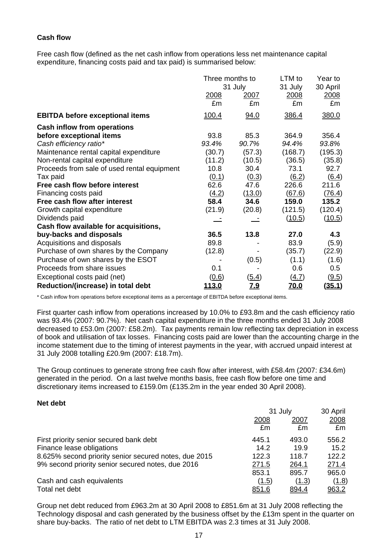## **Cash flow**

Free cash flow (defined as the net cash inflow from operations less net maintenance capital expenditure, financing costs paid and tax paid) is summarised below:

|                                             | Three months to | 31 July      | LTM to<br>31 July | Year to<br>30 April |
|---------------------------------------------|-----------------|--------------|-------------------|---------------------|
|                                             | 2008<br>£m      | 2007<br>£m   | 2008<br>£m        | 2008<br>£m          |
| <b>EBITDA before exceptional items</b>      | 100.4           | 94.0         | 386.4             | 380.0               |
| <b>Cash inflow from operations</b>          |                 |              |                   |                     |
| before exceptional items                    | 93.8            | 85.3         | 364.9             | 356.4               |
| Cash efficiency ratio*                      | 93.4%           | 90.7%        | 94.4%             | 93.8%               |
| Maintenance rental capital expenditure      | (30.7)          | (57.3)       | (168.7)           | (195.3)             |
| Non-rental capital expenditure              | (11.2)          | (10.5)       | (36.5)            | (35.8)              |
| Proceeds from sale of used rental equipment | 10.8            | 30.4         | 73.1              | 92.7                |
| Tax paid                                    | (0.1)           | (0.3)        | (6.2)             | (6.4)               |
| Free cash flow before interest              | 62.6            | 47.6         | 226.6             | 211.6               |
| Financing costs paid                        | (4.2)           | (13.0)       | (67.6)            | (76.4)              |
| Free cash flow after interest               | 58.4            | 34.6         | 159.0             | 135.2               |
| Growth capital expenditure                  | (21.9)          | (20.8)       | (121.5)           | (120.4)             |
| Dividends paid                              |                 |              | (10.5)            | (10.5)              |
| Cash flow available for acquisitions,       |                 |              |                   |                     |
| buy-backs and disposals                     | 36.5            | 13.8         | 27.0              | 4.3                 |
| Acquisitions and disposals                  | 89.8            |              | 83.9              | (5.9)               |
| Purchase of own shares by the Company       | (12.8)          |              | (35.7)            | (22.9)              |
| Purchase of own shares by the ESOT          |                 | (0.5)        | (1.1)             | (1.6)               |
| Proceeds from share issues                  | 0.1             |              | 0.6               | 0.5                 |
| Exceptional costs paid (net)                | (0.6)           | <u>(5.4)</u> | <u>(4.7)</u>      | (9.5)               |
| Reduction/(increase) in total debt          | <u>113.0</u>    | <u>7.9</u>   | <u>70.0</u>       | <u>(35.1)</u>       |

\* Cash inflow from operations before exceptional items as a percentage of EBITDA before exceptional items.

First quarter cash inflow from operations increased by 10.0% to £93.8m and the cash efficiency ratio was 93.4% (2007: 90.7%). Net cash capital expenditure in the three months ended 31 July 2008 decreased to £53.0m (2007: £58.2m). Tax payments remain low reflecting tax depreciation in excess of book and utilisation of tax losses. Financing costs paid are lower than the accounting charge in the income statement due to the timing of interest payments in the year, with accrued unpaid interest at 31 July 2008 totalling £20.9m (2007: £18.7m).

The Group continues to generate strong free cash flow after interest, with £58.4m (2007: £34.6m) generated in the period. On a last twelve months basis, free cash flow before one time and discretionary items increased to £159.0m (£135.2m in the year ended 30 April 2008).

#### **Net debt**

|                                                       | 31 July |            | 30 April     |  |
|-------------------------------------------------------|---------|------------|--------------|--|
|                                                       | 2008    | 2007<br>£m | 2008<br>£m   |  |
|                                                       | £m      |            |              |  |
| First priority senior secured bank debt               | 445.1   | 493.0      | 556.2        |  |
| Finance lease obligations                             | 14.2    | 19.9       | 15.2         |  |
| 8.625% second priority senior secured notes, due 2015 | 122.3   | 118.7      | 122.2        |  |
| 9% second priority senior secured notes, due 2016     | 271.5   | 264.1      | 271.4        |  |
|                                                       | 853.1   | 895.7      | 965.0        |  |
| Cash and cash equivalents                             | (1.5)   | (1.3)      | <u>(1.8)</u> |  |
| Total net debt                                        | 851.6   | 894.4      | 963.2        |  |

Group net debt reduced from £963.2m at 30 April 2008 to £851.6m at 31 July 2008 reflecting the Technology disposal and cash generated by the business offset by the £13m spent in the quarter on share buy-backs. The ratio of net debt to LTM EBITDA was 2.3 times at 31 July 2008.